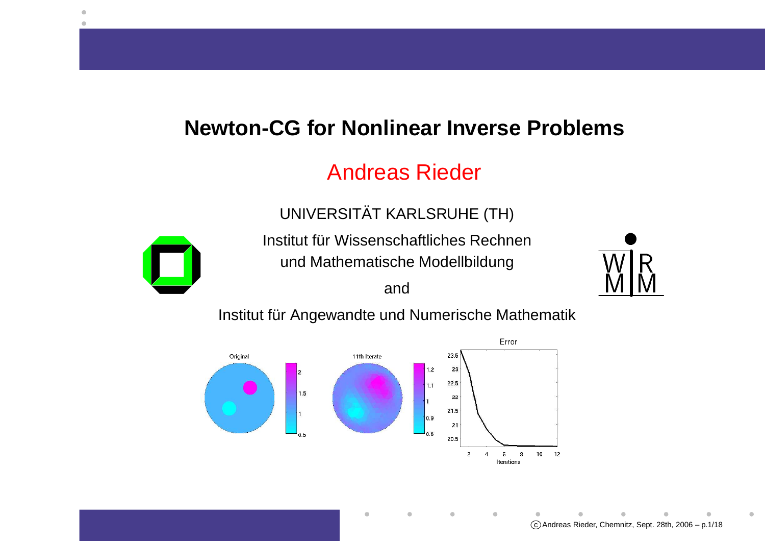#### **Newton-CG for Nonlinear Inverse Problems**

#### Andreas Rieder

UNIVERSITAT KARLSRUHE (TH)¨



Institut für Wissenschaftliches Rechnen und Mathematische Modellbildung

and



Institut für Angewandte und Numerische Mathematik

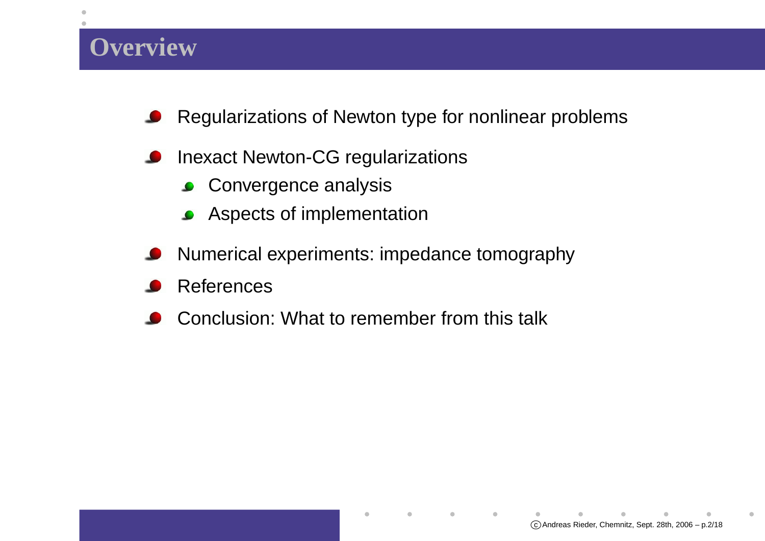#### **Overview**

- Regularizations of Newton type for nonlinear problemsک
- Inexact Newton-CG regularizations
	- **Convergence analysis**
	- **Aspects of implementation**
- Numerical experiments: impedance tomographyD
- References
- Conclusion: What to remember from this talk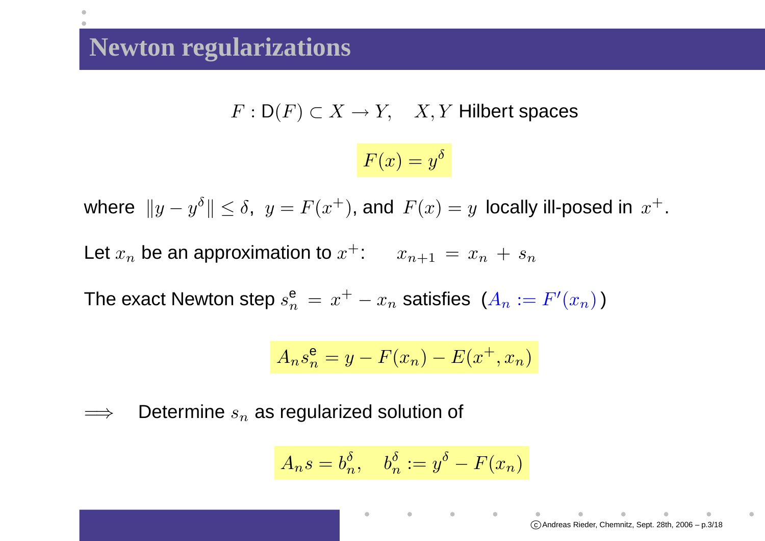## **Newton regularizations**

 $F : \mathsf{D}(F) \subset X \to Y$ ,  $X, Y$  Hilbert spaces

$$
F(x) = y^{\delta}
$$

where  $\|y-y\|$  $\delta \| \leq \delta$ ,  $y = F(x^+)$ , and  $F(x) = y$  locally ill-posed in  $x^+$ .

Let  $x_n$  $n$  be an approximation to  $x^+$ :  $x_{n+1}=x_n+s_n$ 

The exact Newton step  $s_n^{\mathbf{e}}$  $\frac{\mathsf{e}}{n}\,=\,x^{+}$  $- \, x_n$  $_n$  satisfies  $(A_n := F'(x_n))$ 

$$
A_n s_n^e = y - F(x_n) - E(x^+, x_n)
$$

=⇒ $\Rightarrow$  Determine  $s_n$  $_n$  as regularized solution of

$$
A_n s = b_n^{\delta}, \quad b_n^{\delta} := y^{\delta} - F(x_n)
$$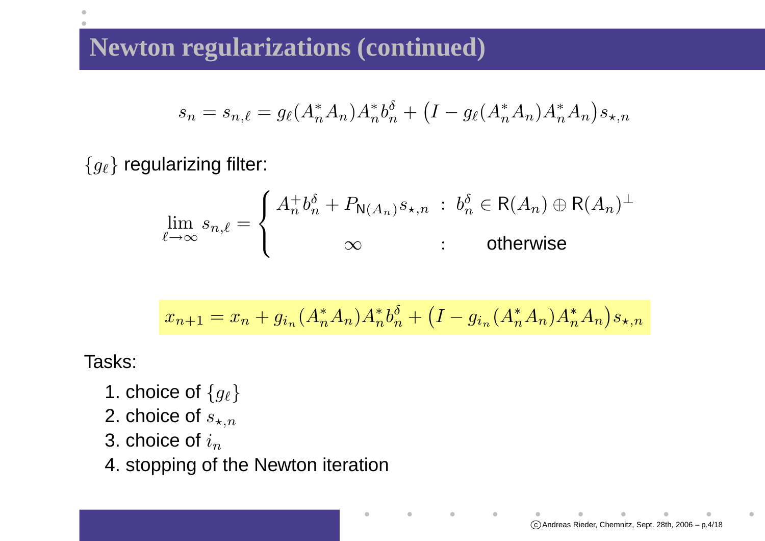# **Newton regularizations (continued)**

$$
s_n = s_{n,\ell} = g_{\ell}(A_n^* A_n) A_n^* b_n^{\delta} + (I - g_{\ell}(A_n^* A_n) A_n^* A_n) s_{\star,n}
$$

 $\{g_\ell\}$  regularizing filter:

$$
\lim_{\ell \to \infty} s_{n,\ell} = \begin{cases} A_n^+ b_n^{\delta} + P_{\mathsf{N}(A_n)} s_{\star,n} \ : \ b_n^{\delta} \in \mathsf{R}(A_n) \oplus \mathsf{R}(A_n)^{\perp} \\ \infty \qquad \qquad : \qquad \text{otherwise} \end{cases}
$$

$$
x_{n+1} = x_n + g_{i_n}(A_n^* A_n) A_n^* b_n^{\delta} + (I - g_{i_n}(A_n^* A_n) A_n^* A_n) s_{\star, n}
$$

 $\bullet$ 

Tasks:

- 1. choice of  $\{g_\ell\}$
- 2. choice of  $s_{\star,n}$
- 3. choice of  $i_{n}$
- 4. stopping of the Newton iteration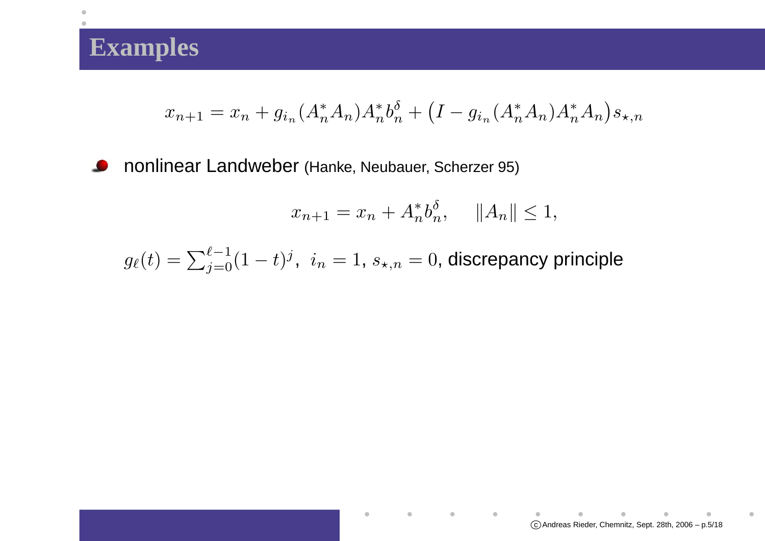## **Examples**

 $\bullet$ 

$$
x_{n+1} = x_n + g_{i_n}(A_n^* A_n) A_n^* b_n^{\delta} + (I - g_{i_n}(A_n^* A_n) A_n^* A_n) s_{\star, n}
$$

nonlinear Landweber (Hanke, Neubauer, Scherzer 95)  $\bullet$ 

$$
x_{n+1} = x_n + A_n^* b_n^{\delta}, \quad ||A_n|| \le 1,
$$

 $\bullet$ 

 $\sim$  0.00  $\pm$ 

 $g_{\ell}(t)=\sum_{j=0}^{\ell-1}(1-t)^j, \ \ i_n=1,\,s_{\star,n}=0,$  discrepancy principle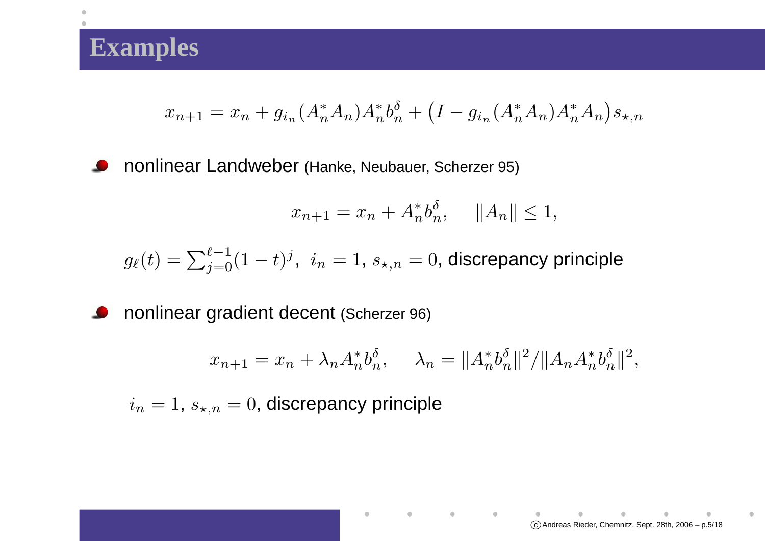#### **Examples**

$$
x_{n+1} = x_n + g_{i_n}(A_n^* A_n) A_n^* b_n^{\delta} + (I - g_{i_n}(A_n^* A_n) A_n^* A_n) s_{\star, n}
$$

nonlinear Landweber (Hanke, Neubauer, Scherzer 95)  $\bullet$ 

$$
x_{n+1} = x_n + A_n^* b_n^{\delta}, \quad ||A_n|| \le 1,
$$

 $g_{\ell}(t)=\sum_{j=0}^{\ell-1}(1-t)^j, \ \ i_n=1,\,s_{\star,n}=0,$  discrepancy principle

nonlinear gradient decent (Scherzer 96)  $\bullet$ 

$$
x_{n+1} = x_n + \lambda_n A_n^* b_n^{\delta}, \quad \lambda_n = \|A_n^* b_n^{\delta}\|^2 / \|A_n A_n^* b_n^{\delta}\|^2,
$$

 $\bullet$ 

 $\sim 100$ 

 $i_n=1,\,s_{\star,n}=0,$  discrepancy principle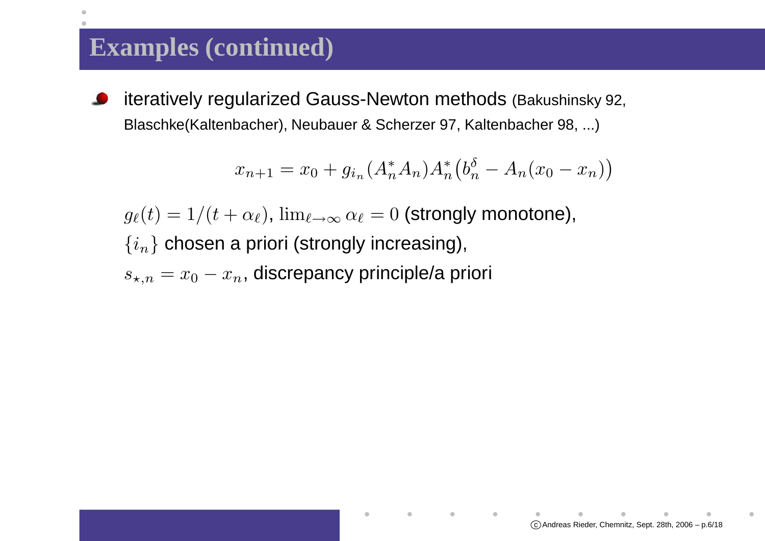#### **Examples (continued)**

iteratively regularized Gauss-Newton methods (Bakushinsky 92, Blaschke(Kaltenbacher), Neubauer & Scherzer 97, Kaltenbacher 98, ...)

$$
x_{n+1} = x_0 + g_{i_n}(A_n^* A_n) A_n^* (b_n^{\delta} - A_n(x_0 - x_n))
$$

 $g_\ell(t) = 1/(t+\alpha_\ell), \, \lim_{\ell \to \infty} \alpha_\ell = 0$  (strongly monotone),  $\{i_n\}$  chosen a priori (strongly increasing),  $s_{\star,n}=x_0-x_n$ , discrepancy principle/a priori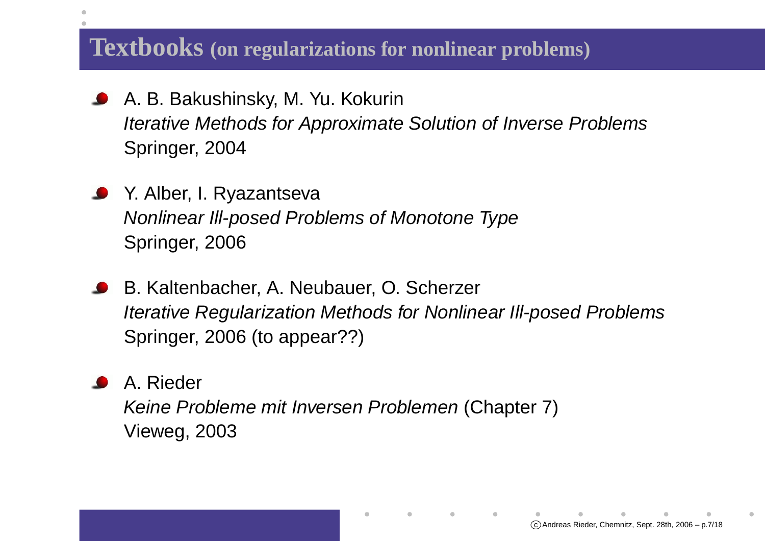# **Textbooks (on regularizations for nonlinear problems)**

- A. B. Bakushinsky, M. Yu. Kokurin $\bullet$  Iterative Methods for Approximate Solution of Inverse ProblemsSpringer, 2004
- **S** Y. Alber, I. Ryazantseva Nonlinear Ill-posed Problems of Monotone TypeSpringer, 2006
- B. Kaltenbacher, A. Neubauer, O. ScherzerIterative Regularization Methods for Nonlinear Ill-posed Problems Springer, 2006 (to appear??)

A. RiederKeine Probleme mit Inversen Problemen (Chapter 7) Vieweg, 2003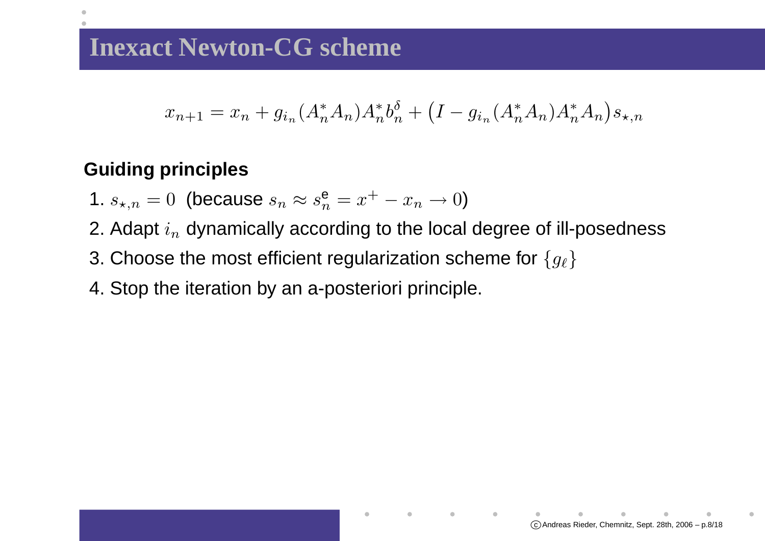#### **Inexact Newton-CG scheme**

$$
x_{n+1} = x_n + g_{i_n}(A_n^* A_n) A_n^* b_n^{\delta} + (I - g_{i_n}(A_n^* A_n) A_n^* A_n) s_{\star, n}
$$

#### **Guiding principles**

- 1.  $s_{\star,n}=0$  (because  $s_n\approx s_n^{\mathbf{e}}$  $\frac{\mathsf{e}}{n}=x^+-x_n\to0$
- 2. Adapt  $i_n$  dynamically according to the  $_n$  dynamically according to the local degree of ill-posedness
- 3. Choose the most efficient regularization scheme for  $\{g_\ell\}$
- 4. Stop the iteration by an a-posteriori principle.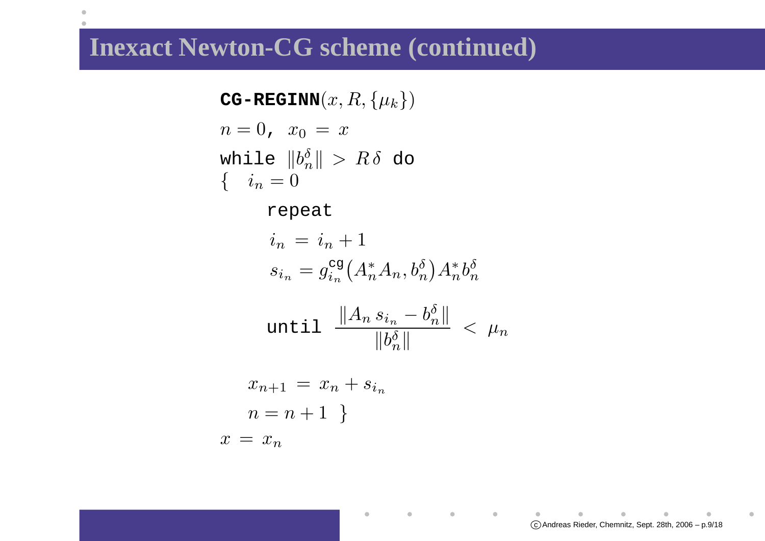#### **Inexact Newton-CG scheme (continued)**

 $\bullet$ 

 $\textbf{CG-REGINN}(x,R,\{\mu_k\})$  $n=0$ ,  $x_0=x$ while  $\|b_n^\delta\|$  $\{i_n=0$  $\frac{\delta}{n} \| > R \delta$  do  $n = 0$ 

repeat

$$
i_n = i_n + 1
$$
  

$$
s_{i_n} = g_{i_n}^{\text{cg}}(A_n^* A_n, b_n^{\delta}) A_n^* b_n^{\delta}
$$

$$
\texttt{until } \frac{\|A_n s_{i_n} - b_n^\delta\|}{\|b_n^\delta\|} ~<~ \mu_n
$$

 $\bullet$ 

 $\bullet$ 

 $\blacksquare$ 

$$
x_{n+1} = x_n + s_{i_n}
$$

$$
n = n + 1
$$

$$
x = x_n
$$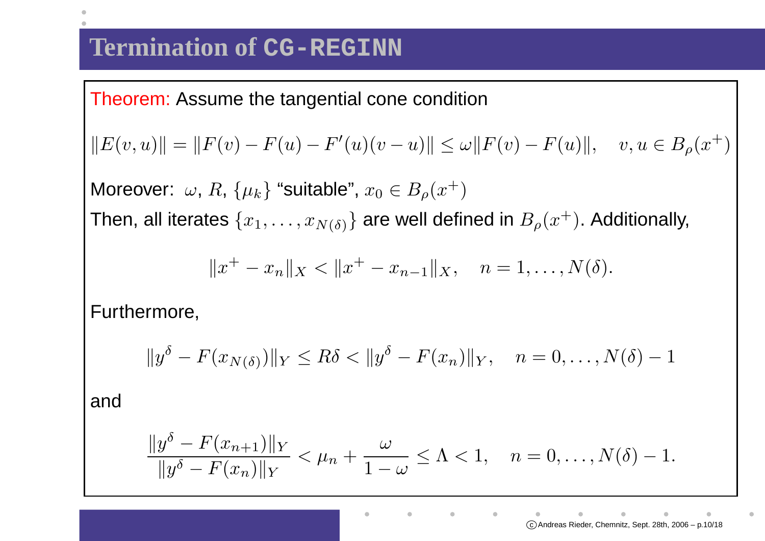Theorem: Assume the tangential cone condition

$$
||E(v, u)|| = ||F(v) - F(u) - F'(u)(v - u)|| \le \omega ||F(v) - F(u)||, \quad v, u \in B_{\rho}(x^+)
$$

Moreover:  $\omega$ ,  $R$ ,  $\{\mu_k\}$  "suitable",  $x_0 \in B_\rho(x^+)$ Then, all iterates  $\{x_1,\ldots,x_{N(\delta)}\}$  are well defined in  $B_\rho(x^+)$ . Additionally,

$$
||x^+ - x_n||_X < ||x^+ - x_{n-1}||_X, \quad n = 1, \dots, N(\delta).
$$

Furthermore,

$$
||y^{\delta} - F(x_{N(\delta)})||_Y \le R\delta < ||y^{\delta} - F(x_n)||_Y, \quad n = 0, \dots, N(\delta) - 1
$$

and

$$
\frac{\|y^{\delta} - F(x_{n+1})\|_{Y}}{\|y^{\delta} - F(x_{n})\|_{Y}} < \mu_{n} + \frac{\omega}{1 - \omega} \leq \Lambda < 1, \quad n = 0, \dots, N(\delta) - 1.
$$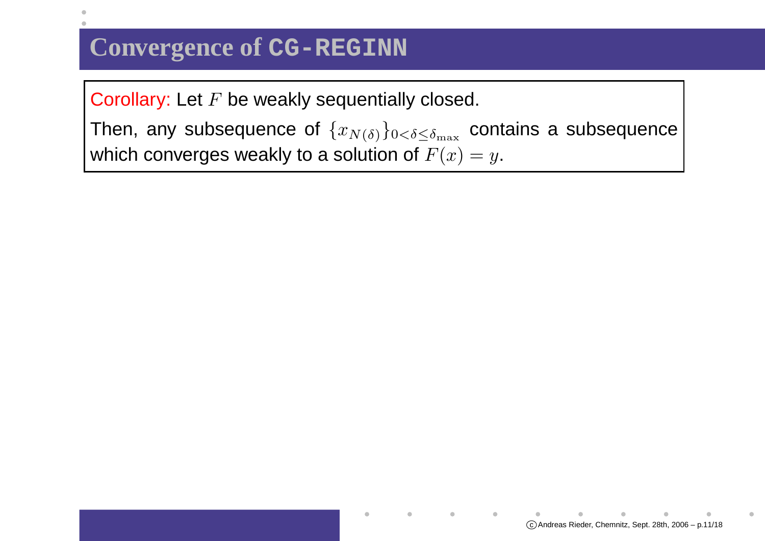# **Convergence of CG-REGINN**

Corollary: Let  $F$  be weakly sequentially closed.

Then, any subsequence of  $\{x_{N(\delta)}\}_{0<\delta\leq\delta_{\max}}$  contains a subsequence which converges weakly to a solution of  $F(x) = y$ .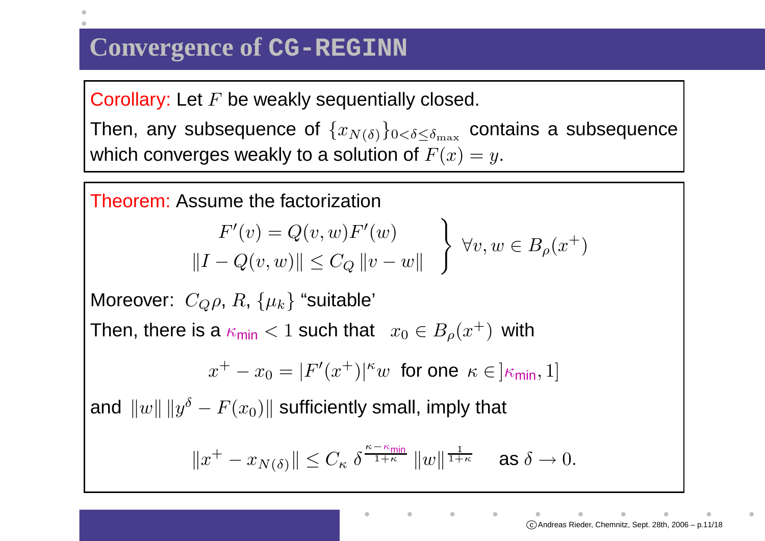# **Convergence of CG-REGINN**

Corollary: Let  $F$  be weakly sequentially closed.

Then, any subsequence of  $\{x_{N(\delta)}\}_{0<\delta\leq\delta_{\max}}$  contains a subsequence which converges weakly to a solution of  $F(x) = y$ .



 $\copyright$  Andreas Rieder, Chemnitz, Sept. 28th, 2006 - p.11/18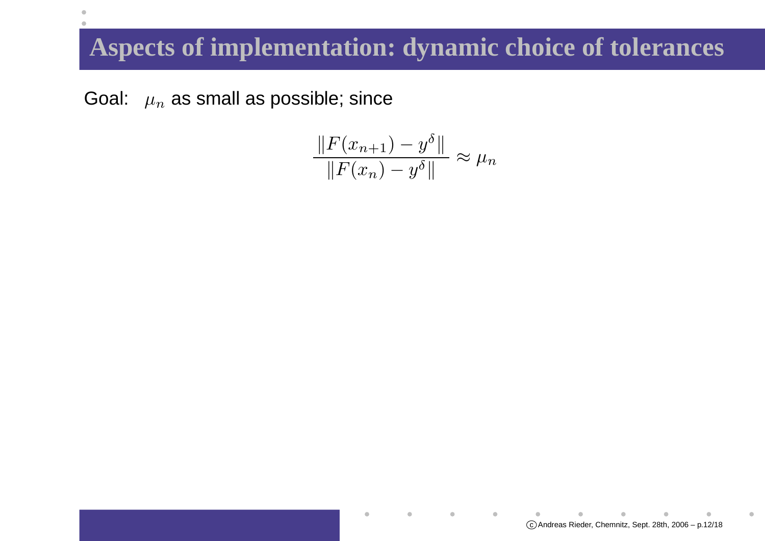# **Aspects of implementation: dynamic choice of tolerances**

Goal:  $\mu_n$  $_n$  as small as possible; since

 $\bullet$  $\mathcal{L}$ 

$$
\frac{\|F(x_{n+1}) - y^{\delta}\|}{\|F(x_n) - y^{\delta}\|} \approx \mu_n
$$

 $\copyright$  Andreas Rieder, Chemnitz, Sept. 28th, 2006 - p.12/18

 $\blacksquare$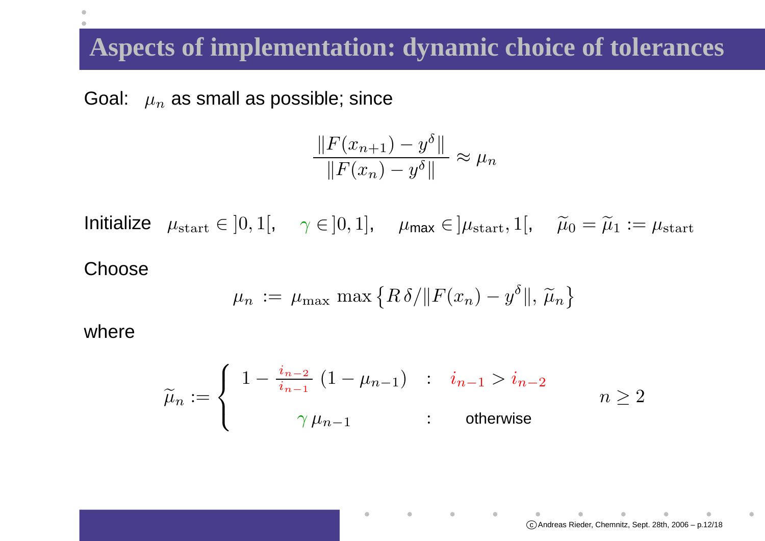## **Aspects of implementation: dynamic choice of tolerances**

Goal:  $\mu_n$  $_n$  as small as possible; since

$$
\frac{\|F(x_{n+1}) - y^{\delta}\|}{\|F(x_n) - y^{\delta}\|} \approx \mu_n
$$

Initialize  $\mu_{\text{start}} \in ]0,1[, \quad \gamma \in ]0,1], \quad \mu_{\text{max}} \in ]\mu_{\text{start}},1[, \quad \widetilde{\mu}_{\text{start}}]$  $_{0}=\widetilde{\mu }_{1}:=\mu _{\mathrm{start}}$ 

#### **Choose**

$$
\mu_n := \mu_{\max} \max \{ R \delta / \| F(x_n) - y^\delta \|, \tilde{\mu}_n \}
$$

where

$$
\widetilde{\mu}_n := \begin{cases}\n1 - \frac{i_{n-2}}{i_{n-1}} (1 - \mu_{n-1}) & \text{: } i_{n-1} > i_{n-2} \\
\gamma \mu_{n-1} & \text{: } \text{ otherwise} \n\end{cases} \n\begin{aligned}\n\widetilde{\mu}_n &= 2\n\end{aligned}
$$

 $\bullet$ 

 $\sim 100$ 

 $\copyright$  Andreas Rieder, Chemnitz, Sept. 28th, 2006 - p.12/18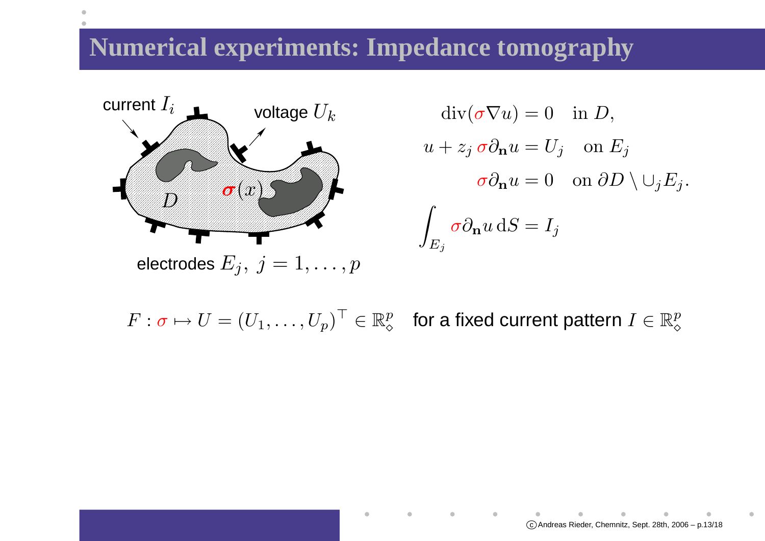#### **Numerical experiments: Impedance tomography**



 $\mathrm{div}(\sigma\nabla u)=0 \quad \text{in } D,$  $u+z_j\,\sigma\partial_{\bf n}u=U_j\quad\text{on }E_j$  $\sigma \partial_{\mathbf{n}} u = 0$  on  $\partial D \setminus \cup$  $\,jE_j.$  $\int_{E_j}$ σ∂n $u\$ d $\, S \,$ = $I_j$ 

 $F: \sigma \mapsto U = (U_1, \ldots, U_p)^\top \in \mathbb{R}^p_\diamond$  $_{\diamond}^p$  for a fixed current pattern  $I\in\mathbb{R}_{\diamond}^p$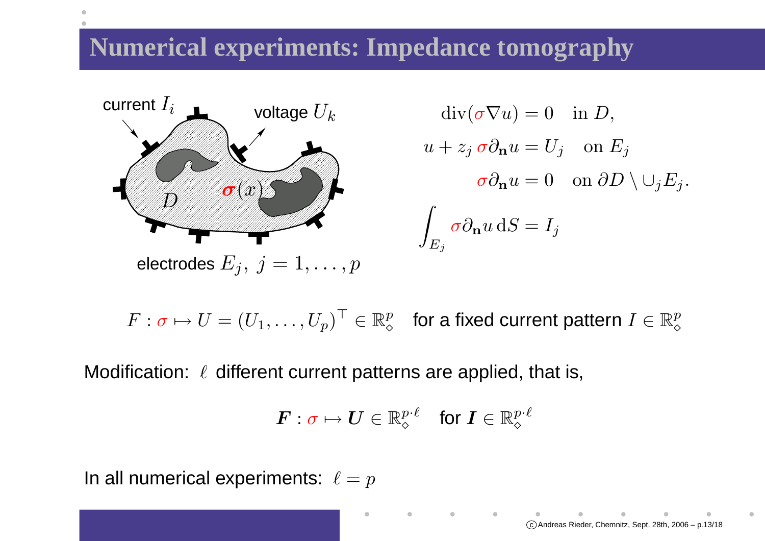## **Numerical experiments: Impedance tomography**



 $\mathrm{div}(\sigma\nabla u)=0 \quad \text{in } D,$  $u+z_j\,\sigma\partial_{\bf n}u=U_j\quad\text{on }E_j$  $\sigma \partial_{\mathbf{n}} u = 0$  on  $\partial D \setminus \cup$  $\,jE_j.$  $\int_{E_j}$ σ∂n $u\$ d $\, S \,$ = $I_j$ 

 $F: \sigma \mapsto U = (U_1, \ldots, U_p)^\top \in \mathbb{R}^p_\diamond$  $_{\diamond}^p$  for a fixed current pattern  $I\in\mathbb{R}_{\diamond}^p$ 

Modification:  $\,\ell\,$  different current patterns are applied, that is,

$$
\boldsymbol{F}:\sigma\mapsto\boldsymbol{U}\in\mathbb{R}_{\diamond}^{p\cdot\ell}\quad\text{for }\boldsymbol{I}\in\mathbb{R}_{\diamond}^{p\cdot\ell}
$$

In all numerical experiments:  $\,\ell=p\,$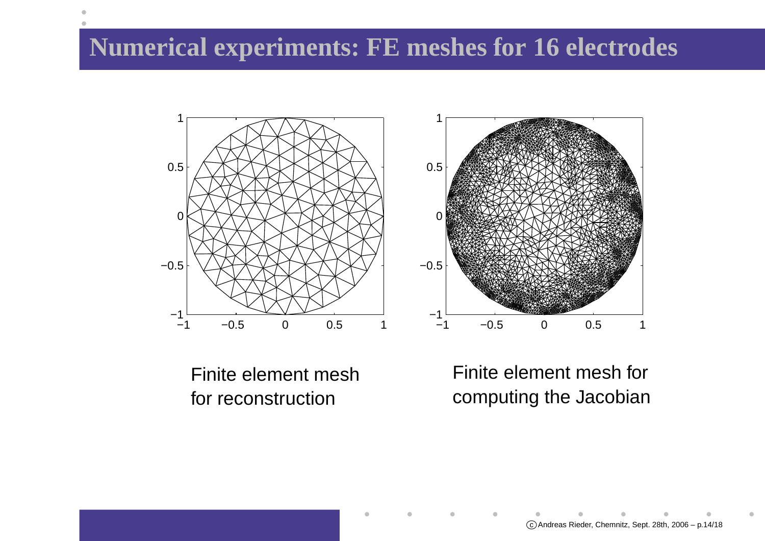# **Numerical experiments: FE meshes for 16 electrodes**





Finite element meshfor reconstruction

Finite element mesh forcomputing the Jacobian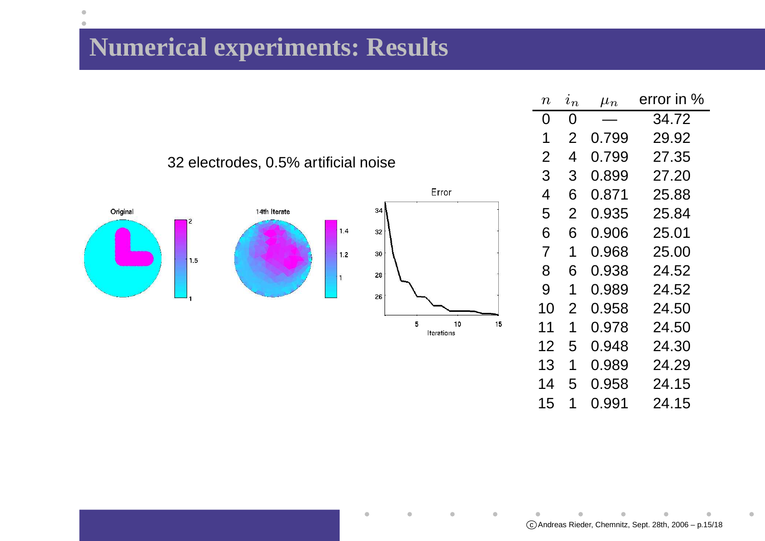# **Numerical experiments: Results**

 $\bullet$  $\bullet$ 

| $\, n \,$      | $\imath_n$ | $\mu_n$ | error in % |
|----------------|------------|---------|------------|
| 0              | 0          |         | 34.72      |
| 1              | 2          | 0.799   | 29.92      |
| $\overline{2}$ | 4          | 0.799   | 27.35      |
| 3              | 3          | 0.899   | 27.20      |
| 4              | 6          | 0.871   | 25.88      |
| 5              | 2          | 0.935   | 25.84      |
| 6              | 6          | 0.906   | 25.01      |
| $\overline{7}$ | 1          | 0.968   | 25.00      |
| 8              | 6          | 0.938   | 24.52      |
| 9              | 1          | 0.989   | 24.52      |
| 10             | 2          | 0.958   | 24.50      |
| 11             | 1          | 0.978   | 24.50      |
| 12             | 5          | 0.948   | 24.30      |
| 13             | 1          | 0.989   | 24.29      |
| 14             | 5          | 0.958   | 24.15      |
| 15             | 1          | 0.991   | 24.15      |

#### 32 electrodes, 0.5% artificial noise



Ò

۰

 $\blacksquare$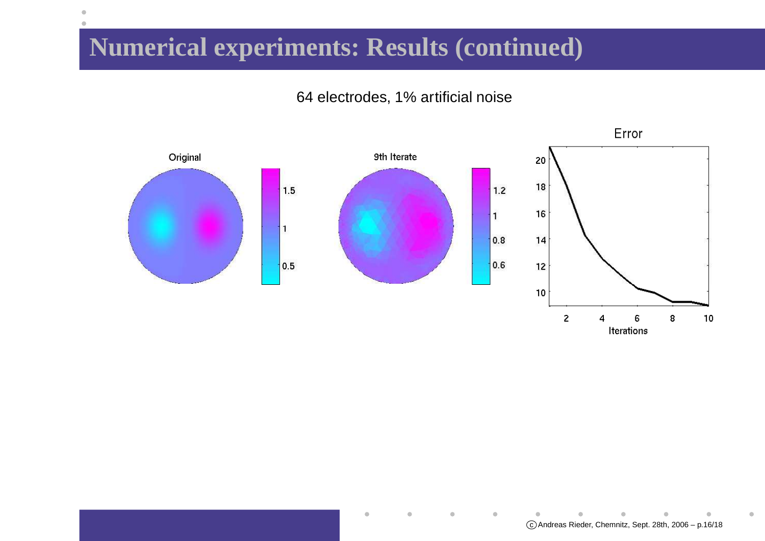# **Numerical experiments: Results (continued)**

 $\bullet$ 

#### 64 electrodes, 1% artificial noise



۰

 $\blacksquare$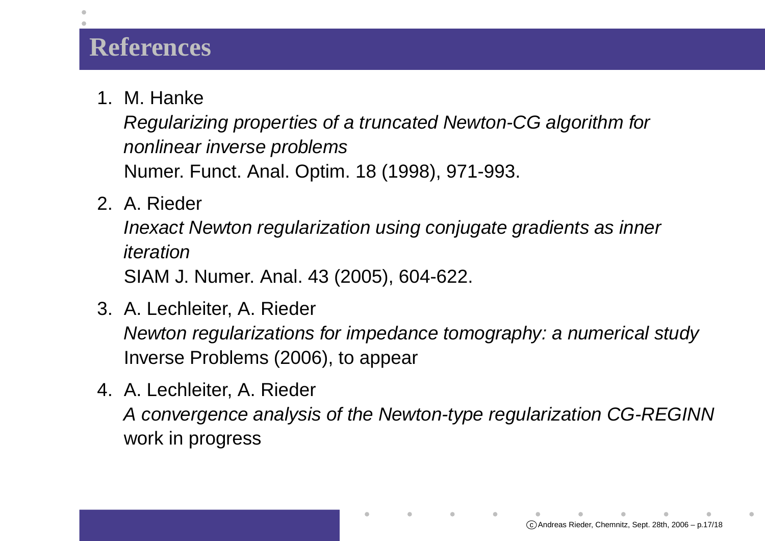#### **References**

1. M. Hanke

 Regularizing properties of <sup>a</sup> truncated Newton-CG algorithm fornonlinear inverse problemsNumer. Funct. Anal. Optim. 18 (1998), 971-993.

2. A. Rieder

Inexact Newton regularization using conjugate gradients as inneriteration

SIAM J. Numer. Anal. 43 (2005), 604-622.

- 3. A. Lechleiter, A. RiederNewton regularizations for impedance tomography: <sup>a</sup> numerical studyInverse Problems (2006), to appear
- 4. A. Lechleiter, A. RiederA convergence analysis of the Newton-type regularization CG-REGINNwork in progress